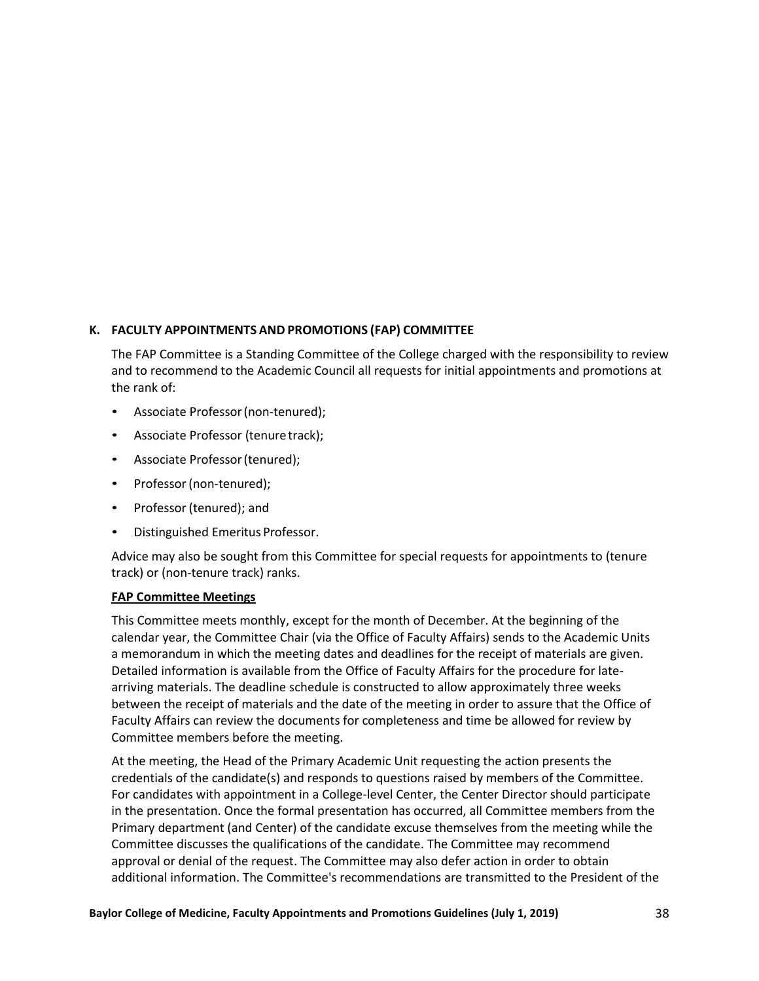## **K. FACULTY APPOINTMENTS AND PROMOTIONS (FAP) COMMITTEE**

The FAP Committee is a Standing Committee of the College charged with the responsibility to review and to recommend to the Academic Council all requests for initial appointments and promotions at the rank of:

- Associate Professor(non-tenured);
- Associate Professor (tenure track);
- Associate Professor (tenured);
- Professor (non-tenured);
- Professor (tenured); and
- Distinguished Emeritus Professor.

Advice may also be sought from this Committee for special requests for appointments to (tenure track) or (non-tenure track) ranks.

## **FAP Committee Meetings**

This Committee meets monthly, except for the month of December. At the beginning of the calendar year, the Committee Chair (via the Office of Faculty Affairs) sends to the Academic Units a memorandum in which the meeting dates and deadlines for the receipt of materials are given. Detailed information is available from the Office of Faculty Affairs for the procedure for latearriving materials. The deadline schedule is constructed to allow approximately three weeks between the receipt of materials and the date of the meeting in order to assure that the Office of Faculty Affairs can review the documents for completeness and time be allowed for review by Committee members before the meeting.

At the meeting, the Head of the Primary Academic Unit requesting the action presents the credentials of the candidate(s) and responds to questions raised by members of the Committee. For candidates with appointment in a College-level Center, the Center Director should participate in the presentation. Once the formal presentation has occurred, all Committee members from the Primary department (and Center) of the candidate excuse themselves from the meeting while the Committee discusses the qualifications of the candidate. The Committee may recommend approval or denial of the request. The Committee may also defer action in order to obtain additional information. The Committee's recommendations are transmitted to the President of the